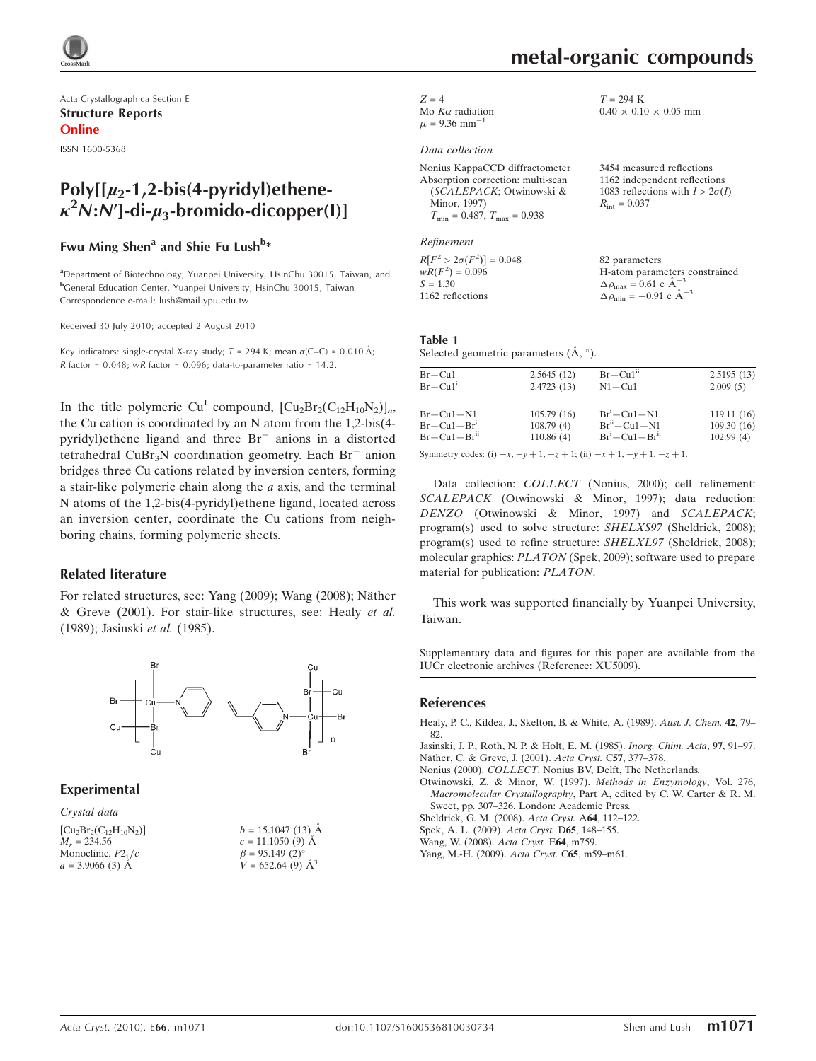

Acta Crystallographica Section E Structure Reports Online

ISSN 1600-5368

# $Poly[[\mu_2-1,2-bis(4-pyridy])$ ethene- $\kappa^2$ N:N']-di- $\mu_3$ -bromido-dicopper(I)]

# Fwu Ming Shen<sup>a</sup> and Shie Fu Lush<sup>b</sup>\*

<sup>a</sup>Department of Biotechnology, Yuanpei University, HsinChu 30015, Taiwan, and b General Education Center, Yuanpei University, HsinChu 30015, Taiwan Correspondence e-mail: lush@mail.ypu.edu.tw

Received 30 July 2010; accepted 2 August 2010

Key indicators: single-crystal X-ray study;  $T = 294$  K; mean  $\sigma$ (C–C) = 0.010 Å; R factor =  $0.048$ ; wR factor =  $0.096$ ; data-to-parameter ratio = 14.2.

In the title polymeric Cu<sup>I</sup> compound,  $[Cu<sub>2</sub>Br<sub>2</sub>(C<sub>12</sub>H<sub>10</sub>N<sub>2</sub>)]_n$ , the Cu cation is coordinated by an N atom from the 1,2-bis(4 pyridyl)ethene ligand and three Br<sup>-</sup> anions in a distorted tetrahedral  $CuBr<sub>3</sub>N$  coordination geometry. Each  $Br<sup>-</sup>$  anion bridges three Cu cations related by inversion centers, forming a stair-like polymeric chain along the a axis, and the terminal N atoms of the 1,2-bis(4-pyridyl)ethene ligand, located across an inversion center, coordinate the Cu cations from neighboring chains, forming polymeric sheets.

#### Related literature

For related structures, see: Yang (2009); Wang (2008); Näther & Greve (2001). For stair-like structures, see: Healy et al. (1989); Jasinski et al. (1985).



## Experimental

Crystal data

| $[Cu2Br2(C12H10N2)]$   | $b = 15.1047(13)$ Å     |
|------------------------|-------------------------|
| $M_r = 234.56$         | $c = 11.1050(9)$ Å      |
| Monoclinic, $P21/c$    | $\beta = 95.149(2)$ °   |
| $a = 3.9066$ (3) $\AA$ | $V = 652.64(9)$ $\AA^3$ |
|                        |                         |

 $0.40 \times 0.10 \times 0.05$  mm

3454 measured reflections 1162 independent reflections 1083 reflections with  $I > 2\sigma(I)$ 

 $T = 294$  K

 $R_{\text{int}} = 0.037$ 

 $Z = 4$ Mo  $K\alpha$  radiation  $\mu$  = 9.36 mm<sup>-1</sup> 1

#### Data collection

| Nonius KappaCCD diffractometer          |
|-----------------------------------------|
| Absorption correction: multi-scan       |
| (SCALEPACK; Otwinowski &                |
| Minor, 1997)                            |
| $T_{\min} = 0.487$ , $T_{\max} = 0.938$ |

#### Refinement

 $R[F^2 > 2\sigma(F^2)] = 0.048$  $wR(F^2) = 0.096$  $S = 1.30$ 1162 reflections 82 parameters H-atom parameters constrained  $\Delta \rho_{\text{max}} = 0.61 \text{ e A}^{-}$ 3  $\Delta \rho_{\text{min}} = -0.91 \text{ e } \text{\AA}^{-3}$ 

# Table 1

Selected geometric parameters  $(\mathring{A}, \degree)$ .

| $Br-Cu1-Brii$                     | 110.86(4)                | $Br^i$ – Cu1 – Br <sup>ii</sup> | 102.99(4)              |
|-----------------------------------|--------------------------|---------------------------------|------------------------|
| $Br-Cu1-Br1$                      | 108.79(4)                | $Br^{\rm ii}-Cu1-N1$            | 109.30(16)             |
| $Br-Cu1-N1$                       | 105.79(16)               | $Br^i-Cu1-N1$                   | 119.11(16)             |
| $Br-Cu1$<br>$Br-Cu1$ <sup>1</sup> | 2.5645(12)<br>2.4723(13) | $Br-Cu1ii$<br>$N1 - Cu1$        | 2.5195(13)<br>2.009(5) |
|                                   |                          |                                 |                        |

Symmetry codes: (i)  $-x, -y + 1, -z + 1$ ; (ii)  $-x + 1, -y + 1, -z + 1$ .

Data collection: COLLECT (Nonius, 2000); cell refinement: SCALEPACK (Otwinowski & Minor, 1997); data reduction: DENZO (Otwinowski & Minor, 1997) and SCALEPACK; program(s) used to solve structure: SHELXS97 (Sheldrick, 2008); program(s) used to refine structure: SHELXL97 (Sheldrick, 2008); molecular graphics: PLATON (Spek, 2009); software used to prepare material for publication: PLATON.

This work was supported financially by Yuanpei University, Taiwan.

Supplementary data and figures for this paper are available from the IUCr electronic archives (Reference: XU5009).

#### References

[Healy, P. C., Kildea, J., Skelton, B. & White, A. \(1989\).](https://scripts.iucr.org/cgi-bin/cr.cgi?rm=pdfbb&cnor=xu5009&bbid=BB1) Aust. J. Chem. 42, 79– [82.](https://scripts.iucr.org/cgi-bin/cr.cgi?rm=pdfbb&cnor=xu5009&bbid=BB1)

[Jasinski, J. P., Roth, N. P. & Holt, E. M. \(1985\).](https://scripts.iucr.org/cgi-bin/cr.cgi?rm=pdfbb&cnor=xu5009&bbid=BB2) Inorg. Chim. Acta, 97, 91–97. Näther, C. & Greve, J. (2001). Acta Cryst. C57, 377-378.

Nonius (2000). COLLECT[. Nonius BV, Delft, The Netherlands.](https://scripts.iucr.org/cgi-bin/cr.cgi?rm=pdfbb&cnor=xu5009&bbid=BB4)

[Otwinowski, Z. & Minor, W. \(1997\).](https://scripts.iucr.org/cgi-bin/cr.cgi?rm=pdfbb&cnor=xu5009&bbid=BB5) Methods in Enzymology, Vol. 276, Macromolecular Crystallography[, Part A, edited by C. W. Carter & R. M.](https://scripts.iucr.org/cgi-bin/cr.cgi?rm=pdfbb&cnor=xu5009&bbid=BB5) [Sweet, pp. 307–326. London: Academic Press.](https://scripts.iucr.org/cgi-bin/cr.cgi?rm=pdfbb&cnor=xu5009&bbid=BB5)

[Sheldrick, G. M. \(2008\).](https://scripts.iucr.org/cgi-bin/cr.cgi?rm=pdfbb&cnor=xu5009&bbid=BB6) Acta Cryst. A64, 112–122.

[Spek, A. L. \(2009\).](https://scripts.iucr.org/cgi-bin/cr.cgi?rm=pdfbb&cnor=xu5009&bbid=BB7) Acta Cryst. D65, 148–155.

[Wang, W. \(2008\).](https://scripts.iucr.org/cgi-bin/cr.cgi?rm=pdfbb&cnor=xu5009&bbid=BB8) Acta Cryst. E64, m759.

[Yang, M.-H. \(2009\).](https://scripts.iucr.org/cgi-bin/cr.cgi?rm=pdfbb&cnor=xu5009&bbid=BB9) Acta Cryst. C65, m59–m61.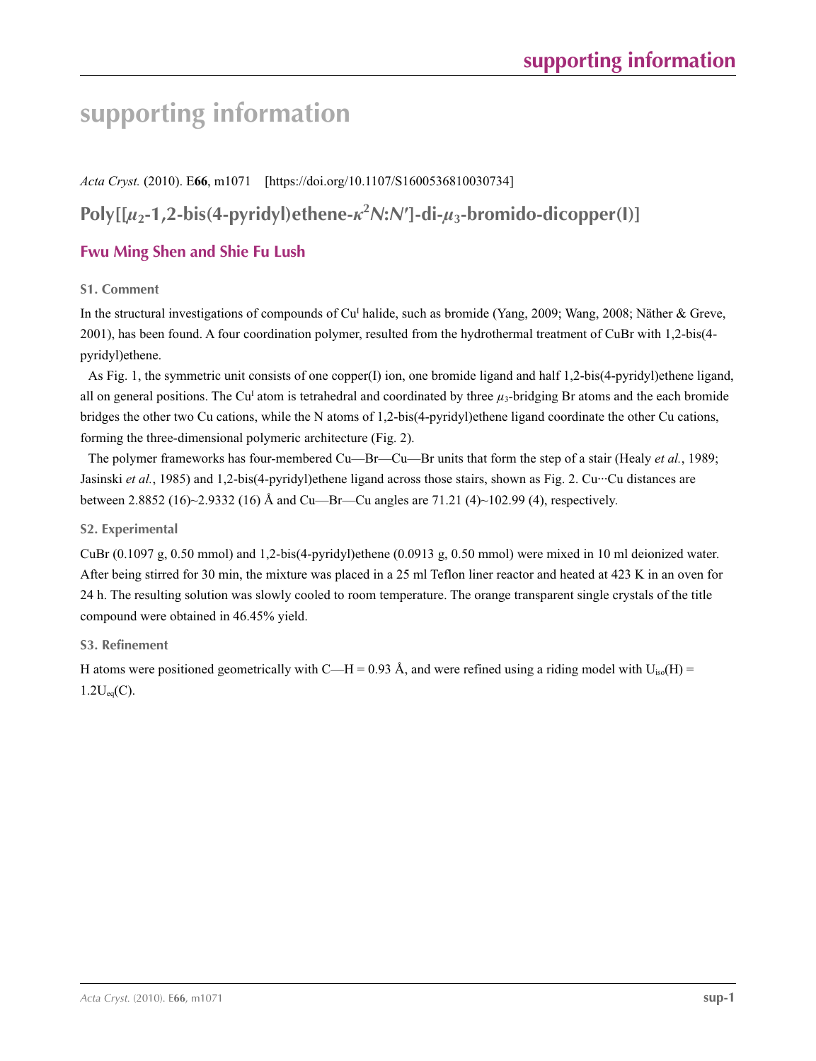# **supporting information**

*Acta Cryst.* (2010). E**66**, m1071 [https://doi.org/10.1107/S1600536810030734]

# **Poly[[***µ***2-1,2-bis(4-pyridyl)ethene-***κ***<sup>2</sup>** *N***:***N***′]-di-***µ***3-bromido-dicopper(I)]**

# **Fwu Ming Shen and Shie Fu Lush**

## **S1. Comment**

In the structural investigations of compounds of Cu<sup>I</sup> halide, such as bromide (Yang, 2009; Wang, 2008; Näther & Greve, 2001), has been found. A four coordination polymer, resulted from the hydrothermal treatment of CuBr with 1,2-bis(4 pyridyl)ethene.

As Fig. 1, the symmetric unit consists of one copper(I) ion, one bromide ligand and half 1,2-bis(4-pyridyl)ethene ligand, all on general positions. The Cu<sup>I</sup> atom is tetrahedral and coordinated by three  $\mu_3$ -bridging Br atoms and the each bromide bridges the other two Cu cations, while the N atoms of 1,2-bis(4-pyridyl)ethene ligand coordinate the other Cu cations, forming the three-dimensional polymeric architecture (Fig. 2).

The polymer frameworks has four-membered Cu—Br—Cu—Br units that form the step of a stair (Healy *et al.*, 1989; Jasinski *et al.*, 1985) and 1,2-bis(4-pyridyl)ethene ligand across those stairs, shown as Fig. 2. Cu···Cu distances are between 2.8852 (16)~2.9332 (16) Å and Cu—Br—Cu angles are 71.21 (4)~102.99 (4), respectively.

## **S2. Experimental**

CuBr (0.1097 g, 0.50 mmol) and 1,2-bis(4-pyridyl)ethene (0.0913 g, 0.50 mmol) were mixed in 10 ml deionized water. After being stirred for 30 min, the mixture was placed in a 25 ml Teflon liner reactor and heated at 423 K in an oven for 24 h. The resulting solution was slowly cooled to room temperature. The orange transparent single crystals of the title compound were obtained in 46.45% yield.

# **S3. Refinement**

H atoms were positioned geometrically with C—H = 0.93 Å, and were refined using a riding model with  $U_{iso}(H)$  =  $1.2U_{eq}(C)$ .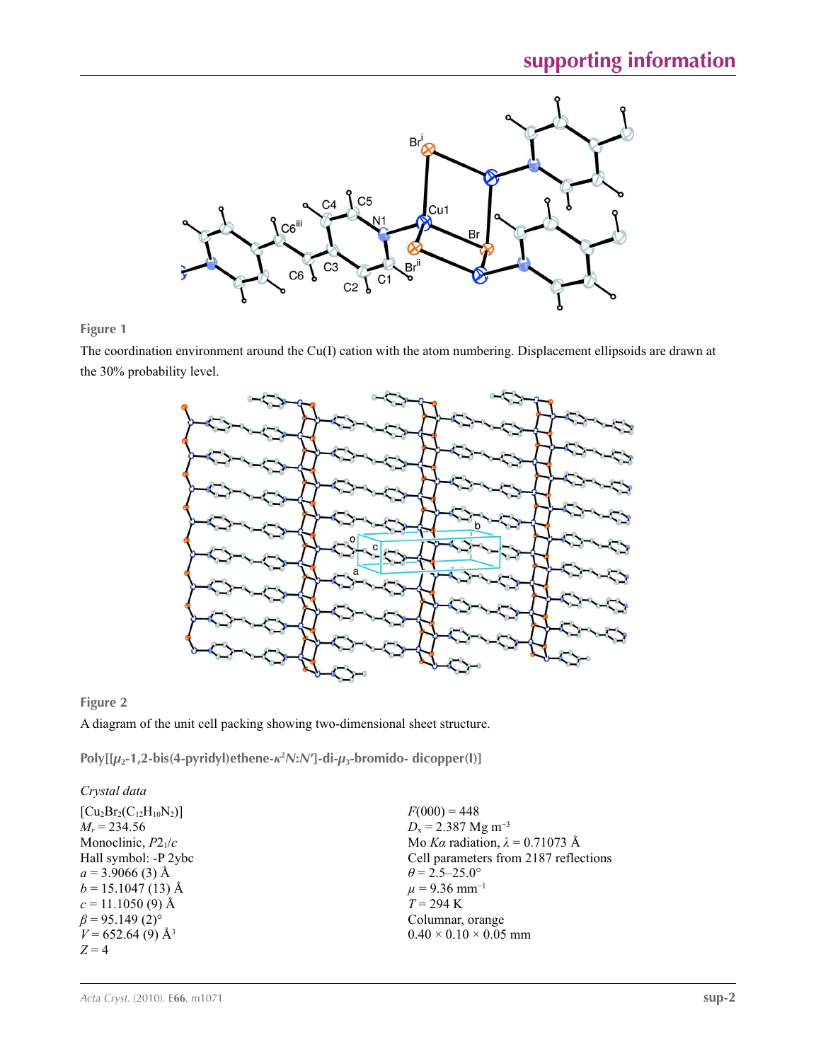

## **Figure 1**

The coordination environment around the Cu(I) cation with the atom numbering. Displacement ellipsoids are drawn at the 30% probability level.



## **Figure 2**

A diagram of the unit cell packing showing two-dimensional sheet structure.

**Poly[[***µ***2-1,2-bis(4-pyridyl)ethene-***κ***<sup>2</sup>** *N***:***N***′]-di-***µ***3-bromido- dicopper(I)]** 

# *Crystal data*

 $[Cu<sub>2</sub>Br<sub>2</sub>(C<sub>12</sub>H<sub>10</sub>N<sub>2</sub>)]$  $M_r = 234.56$ Monoclinic, *P*21/*c* Hall symbol: -P 2ybc  $a = 3.9066$  (3) Å  $b = 15.1047(13)$  Å  $c = 11.1050(9)$  Å  $\beta$  = 95.149 (2)<sup>o</sup>  $V = 652.64(9)$  Å<sup>3</sup>  $Z = 4$ 

 $F(000) = 448$  $D_x = 2.387$  Mg m<sup>-3</sup> Mo *Kα* radiation, *λ* = 0.71073 Å Cell parameters from 2187 reflections  $\theta$  = 2.5–25.0°  $\mu$  = 9.36 mm<sup>-1</sup>  $T = 294$  K Columnar, orange  $0.40 \times 0.10 \times 0.05$  mm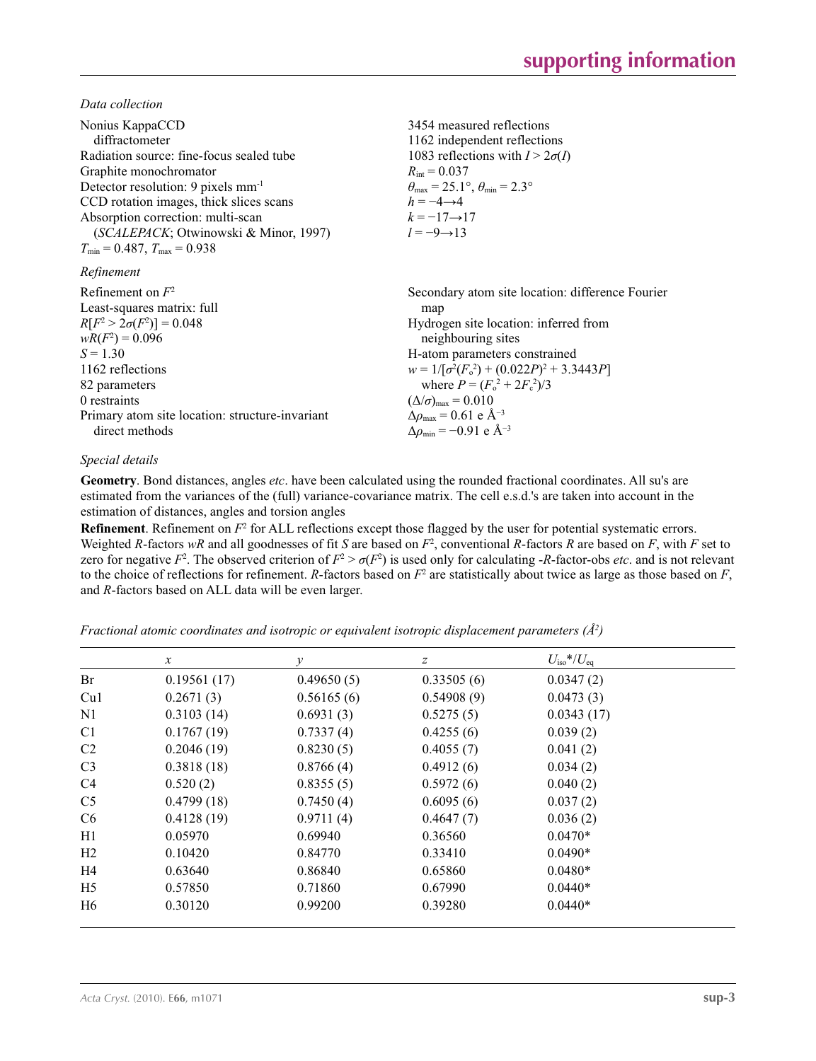*Data collection*

| Nonius KappaCCD<br>diffractometer<br>Radiation source: fine-focus sealed tube<br>Graphite monochromator<br>Detector resolution: 9 pixels mm <sup>-1</sup><br>CCD rotation images, thick slices scans<br>Absorption correction: multi-scan<br>(SCALEPACK; Otwinowski & Minor, 1997)<br>$T_{\min}$ = 0.487, $T_{\max}$ = 0.938 | 3454 measured reflections<br>1162 independent reflections<br>1083 reflections with $I > 2\sigma(I)$<br>$R_{\text{int}} = 0.037$<br>$\theta_{\text{max}} = 25.1^{\circ}, \theta_{\text{min}} = 2.3^{\circ}$<br>$h = -4 \rightarrow 4$<br>$k = -17 \rightarrow 17$<br>$l = -9 \rightarrow 13$                                                                                                                |
|------------------------------------------------------------------------------------------------------------------------------------------------------------------------------------------------------------------------------------------------------------------------------------------------------------------------------|------------------------------------------------------------------------------------------------------------------------------------------------------------------------------------------------------------------------------------------------------------------------------------------------------------------------------------------------------------------------------------------------------------|
| Refinement                                                                                                                                                                                                                                                                                                                   |                                                                                                                                                                                                                                                                                                                                                                                                            |
| Refinement on $F^2$<br>Least-squares matrix: full<br>$R[F^2 > 2\sigma(F^2)] = 0.048$<br>$wR(F^2) = 0.096$<br>$S = 1.30$<br>1162 reflections<br>82 parameters<br>0 restraints<br>Primary atom site location: structure-invariant<br>direct methods                                                                            | Secondary atom site location: difference Fourier<br>map<br>Hydrogen site location: inferred from<br>neighbouring sites<br>H-atom parameters constrained<br>$w = 1/[\sigma^2(F_0^2) + (0.022P)^2 + 3.3443P]$<br>where $P = (F_0^2 + 2F_c^2)/3$<br>$(\Delta/\sigma)_{\text{max}} = 0.010$<br>$\Delta\rho_{\text{max}}$ = 0.61 e Å <sup>-3</sup><br>$\Delta\rho_{\rm min} = -0.91 \text{ e } \text{\AA}^{-3}$ |

## *Special details*

**Geometry**. Bond distances, angles *etc*. have been calculated using the rounded fractional coordinates. All su's are estimated from the variances of the (full) variance-covariance matrix. The cell e.s.d.'s are taken into account in the estimation of distances, angles and torsion angles

**Refinement**. Refinement on  $F^2$  for ALL reflections except those flagged by the user for potential systematic errors. Weighted *R*-factors *wR* and all goodnesses of fit *S* are based on *F*<sup>2</sup> , conventional *R*-factors *R* are based on *F*, with *F* set to zero for negative  $F^2$ . The observed criterion of  $F^2 > \sigma(F^2)$  is used only for calculating -*R*-factor-obs *etc*. and is not relevant to the choice of reflections for refinement. *R*-factors based on  $F^2$  are statistically about twice as large as those based on  $F$ , and *R*-factors based on ALL data will be even larger.

*Fractional atomic coordinates and isotropic or equivalent isotropic displacement parameters (Å2 )*

|                | $\mathcal{X}$ | ν          | Ζ          | $U_{\rm iso}*/U_{\rm eq}$ |  |
|----------------|---------------|------------|------------|---------------------------|--|
| Br             | 0.19561(17)   | 0.49650(5) | 0.33505(6) | 0.0347(2)                 |  |
| Cu1            | 0.2671(3)     | 0.56165(6) | 0.54908(9) | 0.0473(3)                 |  |
| N <sub>1</sub> | 0.3103(14)    | 0.6931(3)  | 0.5275(5)  | 0.0343(17)                |  |
| C <sub>1</sub> | 0.1767(19)    | 0.7337(4)  | 0.4255(6)  | 0.039(2)                  |  |
| C <sub>2</sub> | 0.2046(19)    | 0.8230(5)  | 0.4055(7)  | 0.041(2)                  |  |
| C <sub>3</sub> | 0.3818(18)    | 0.8766(4)  | 0.4912(6)  | 0.034(2)                  |  |
| C <sub>4</sub> | 0.520(2)      | 0.8355(5)  | 0.5972(6)  | 0.040(2)                  |  |
| C <sub>5</sub> | 0.4799(18)    | 0.7450(4)  | 0.6095(6)  | 0.037(2)                  |  |
| C <sub>6</sub> | 0.4128(19)    | 0.9711(4)  | 0.4647(7)  | 0.036(2)                  |  |
| H1             | 0.05970       | 0.69940    | 0.36560    | $0.0470*$                 |  |
| H <sub>2</sub> | 0.10420       | 0.84770    | 0.33410    | $0.0490*$                 |  |
| H4             | 0.63640       | 0.86840    | 0.65860    | $0.0480*$                 |  |
| H <sub>5</sub> | 0.57850       | 0.71860    | 0.67990    | $0.0440*$                 |  |
| H6             | 0.30120       | 0.99200    | 0.39280    | $0.0440*$                 |  |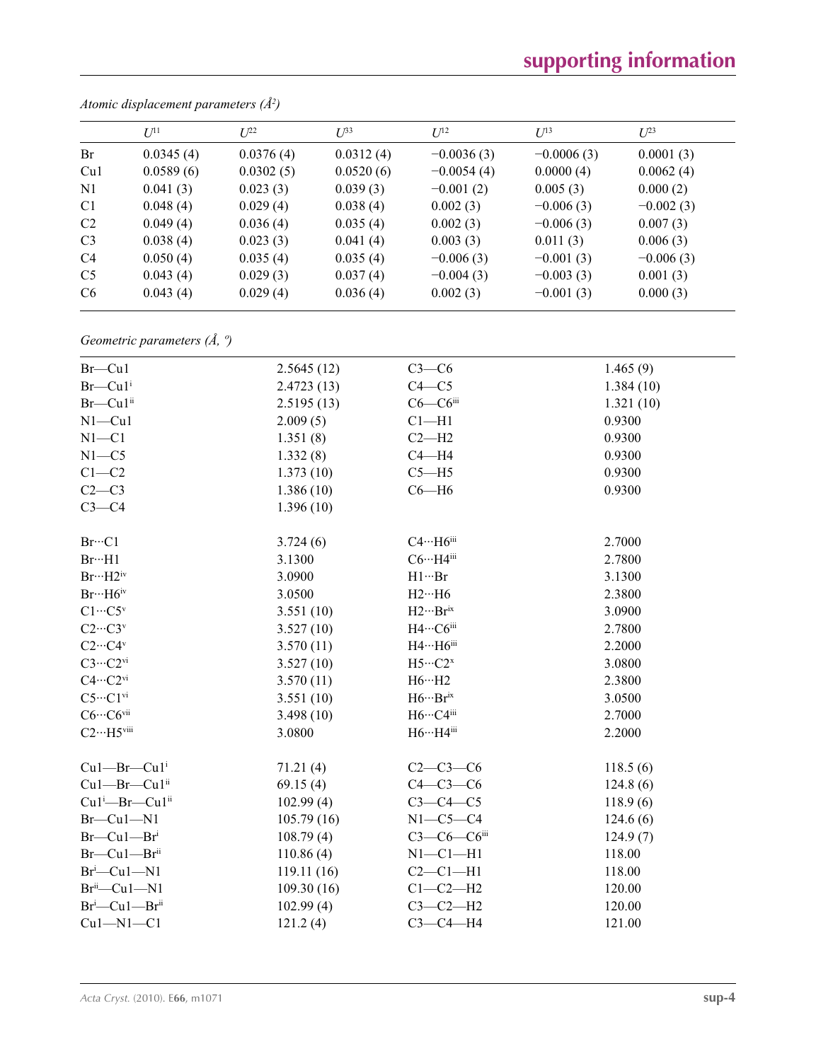# **supporting information**

|                | $U^{11}$  | $L^{22}$  | $U^{33}$  | $U^{12}$     | $U^{13}$     | $U^{23}$    |
|----------------|-----------|-----------|-----------|--------------|--------------|-------------|
| Br             | 0.0345(4) | 0.0376(4) | 0.0312(4) | $-0.0036(3)$ | $-0.0006(3)$ | 0.0001(3)   |
| Cu1            | 0.0589(6) | 0.0302(5) | 0.0520(6) | $-0.0054(4)$ | 0.0000(4)    | 0.0062(4)   |
| N1             | 0.041(3)  | 0.023(3)  | 0.039(3)  | $-0.001(2)$  | 0.005(3)     | 0.000(2)    |
| C <sub>1</sub> | 0.048(4)  | 0.029(4)  | 0.038(4)  | 0.002(3)     | $-0.006(3)$  | $-0.002(3)$ |
| C <sub>2</sub> | 0.049(4)  | 0.036(4)  | 0.035(4)  | 0.002(3)     | $-0.006(3)$  | 0.007(3)    |
| C <sub>3</sub> | 0.038(4)  | 0.023(3)  | 0.041(4)  | 0.003(3)     | 0.011(3)     | 0.006(3)    |
| C <sub>4</sub> | 0.050(4)  | 0.035(4)  | 0.035(4)  | $-0.006(3)$  | $-0.001(3)$  | $-0.006(3)$ |
| C <sub>5</sub> | 0.043(4)  | 0.029(3)  | 0.037(4)  | $-0.004(3)$  | $-0.003(3)$  | 0.001(3)    |
| C <sub>6</sub> | 0.043(4)  | 0.029(4)  | 0.036(4)  | 0.002(3)     | $-0.001(3)$  | 0.000(3)    |
|                |           |           |           |              |              |             |

*Atomic displacement parameters (Å2 )*

*Geometric parameters (Å, º)*

| $Br$ – $Cu1$                           | 2.5645(12) | $C3-C6$            | 1.465(9)  |
|----------------------------------------|------------|--------------------|-----------|
| $Br$ —Cu $1$ <sup>i</sup>              | 2.4723(13) | $C4 - C5$          | 1.384(10) |
| Br-Cu1ii                               | 2.5195(13) | $C6-C6$ iii        | 1.321(10) |
| $N1 - Cu1$                             | 2.009(5)   | $Cl-H1$            | 0.9300    |
| $N1 - C1$                              | 1.351(8)   | $C2-H2$            | 0.9300    |
| $N1 - C5$                              | 1.332(8)   | $C4 - H4$          | 0.9300    |
| $C1-C2$                                | 1.373(10)  | $C5 - H5$          | 0.9300    |
| $C2-C3$                                | 1.386(10)  | $C6 - H6$          | 0.9300    |
| $C3-C4$                                | 1.396(10)  |                    |           |
| $Br\cdots Cl$                          | 3.724(6)   | $C4 \cdots H6$ iii | 2.7000    |
| Br··H1                                 | 3.1300     | $C6 \cdots H4$ iii | 2.7800    |
| $Br\cdots H2^{iv}$                     | 3.0900     | $H1\cdots Br$      | 3.1300    |
| $Br··H6$ iv                            | 3.0500     | $H2\cdots H6$      | 2.3800    |
| $C1 \cdots C5$ <sup>v</sup>            | 3.551(10)  | $H2\cdots Br^{ix}$ | 3.0900    |
| $C2\cdots C3v$                         | 3.527(10)  | H4…C6iii           | 2.7800    |
| $C2\cdots C4^v$                        | 3.570(11)  | $H4 \cdots H6$ iii | 2.2000    |
| $C3 \cdots C2$ <sup>vi</sup>           | 3.527(10)  | $H5\cdots C2^{x}$  | 3.0800    |
| $C4 \cdots C2^{vi}$                    | 3.570(11)  | $H6 \cdots H2$     | 2.3800    |
| $C5 \cdots C1$ <sup>vi</sup>           | 3.551(10)  | $H6\cdots Br^{ix}$ | 3.0500    |
| $C6 \cdots C6$ vii                     | 3.498(10)  | $H6\cdots C4$ iii  | 2.7000    |
| $C2 \cdots H5$ viii                    | 3.0800     | H6…H4iii           | 2.2000    |
| $Cu1$ -Br- $Cu1$ <sup>i</sup>          | 71.21(4)   | $C2-C3-C6$         | 118.5(6)  |
| Cu1-Br-Cu1ii                           | 69.15(4)   | $C4-C3-C6$         | 124.8(6)  |
| Cu <sub>1</sub> i-Br-Cu <sub>1ii</sub> | 102.99(4)  | $C3-C4-C5$         | 118.9(6)  |
| $Br$ –Cul–Nl                           | 105.79(16) | $N1-C5-C4$         | 124.6(6)  |
| $Br$ —Cu $1$ —Br <sup>i</sup>          | 108.79(4)  | $C3-C6-C6$ iii     | 124.9(7)  |
| $Br$ —Cu $1$ —Br <sup>ii</sup>         | 110.86(4)  | $N1-C1-H1$         | 118.00    |
| $Br^i$ -Cu1-N1                         | 119.11(16) | $C2-C1-H1$         | 118.00    |
| $Brii$ -Cu1-N1                         | 109.30(16) | $C1-C2-H2$         | 120.00    |
| Br <sup>i</sup> -Cu1-Br <sup>ii</sup>  | 102.99(4)  | $C3-C2-H2$         | 120.00    |
| $Cu1 - N1 - C1$                        | 121.2(4)   | $C3-C4-H4$         | 121.00    |